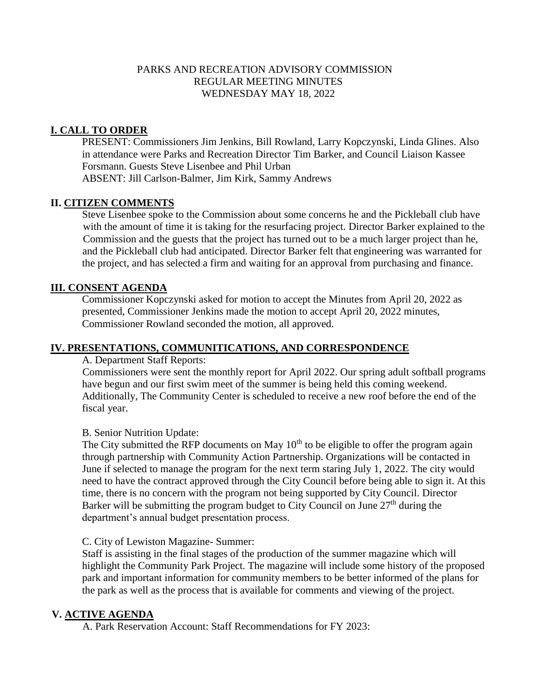## PARKS AND RECREATION ADVISORY COMMISSION REGULAR MEETING MINUTES WEDNESDAY MAY 18, 2022

## **I. CALL TO ORDER**

PRESENT: Commissioners Jim Jenkins, Bill Rowland, Larry Kopczynski, Linda Glines. Also in attendance were Parks and Recreation Director Tim Barker, and Council Liaison Kassee Forsmann. Guests Steve Lisenbee and Phil Urban ABSENT: Jill Carlson-Balmer, Jim Kirk, Sammy Andrews

## **II. CITIZEN COMMENTS**

Steve Lisenbee spoke to the Commission about some concerns he and the Pickleball club have with the amount of time it is taking for the resurfacing project. Director Barker explained to the Commission and the guests that the project has turned out to be a much larger project than he, and the Pickleball club had anticipated. Director Barker felt that engineering was warranted for the project, and has selected a firm and waiting for an approval from purchasing and finance.

### **III. CONSENT AGENDA**

Commissioner Kopczynski asked for motion to accept the Minutes from April 20, 2022 as presented, Commissioner Jenkins made the motion to accept April 20, 2022 minutes, Commissioner Rowland seconded the motion, all approved.

### **IV. PRESENTATIONS, COMMUNITICATIONS, AND CORRESPONDENCE**

A. Department Staff Reports:

Commissioners were sent the monthly report for April 2022. Our spring adult softball programs have begun and our first swim meet of the summer is being held this coming weekend. Additionally, The Community Center is scheduled to receive a new roof before the end of the fiscal year.

#### B. Senior Nutrition Update:

The City submitted the RFP documents on May  $10<sup>th</sup>$  to be eligible to offer the program again through partnership with Community Action Partnership. Organizations will be contacted in June if selected to manage the program for the next term staring July 1, 2022. The city would need to have the contract approved through the City Council before being able to sign it. At this time, there is no concern with the program not being supported by City Council. Director Barker will be submitting the program budget to City Council on June  $27<sup>th</sup>$  during the department's annual budget presentation process.

#### C. City of Lewiston Magazine- Summer:

Staff is assisting in the final stages of the production of the summer magazine which will highlight the Community Park Project. The magazine will include some history of the proposed park and important information for community members to be better informed of the plans for the park as well as the process that is available for comments and viewing of the project.

### **V. ACTIVE AGENDA**

A. Park Reservation Account: Staff Recommendations for FY 2023: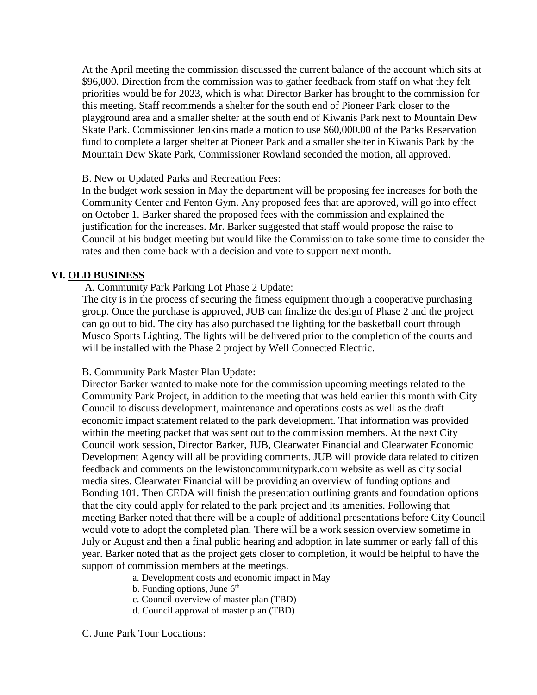At the April meeting the commission discussed the current balance of the account which sits at \$96,000. Direction from the commission was to gather feedback from staff on what they felt priorities would be for 2023, which is what Director Barker has brought to the commission for this meeting. Staff recommends a shelter for the south end of Pioneer Park closer to the playground area and a smaller shelter at the south end of Kiwanis Park next to Mountain Dew Skate Park. Commissioner Jenkins made a motion to use \$60,000.00 of the Parks Reservation fund to complete a larger shelter at Pioneer Park and a smaller shelter in Kiwanis Park by the Mountain Dew Skate Park, Commissioner Rowland seconded the motion, all approved.

#### B. New or Updated Parks and Recreation Fees:

In the budget work session in May the department will be proposing fee increases for both the Community Center and Fenton Gym. Any proposed fees that are approved, will go into effect on October 1. Barker shared the proposed fees with the commission and explained the justification for the increases. Mr. Barker suggested that staff would propose the raise to Council at his budget meeting but would like the Commission to take some time to consider the rates and then come back with a decision and vote to support next month.

## **VI. OLD BUSINESS**

A. Community Park Parking Lot Phase 2 Update:

The city is in the process of securing the fitness equipment through a cooperative purchasing group. Once the purchase is approved, JUB can finalize the design of Phase 2 and the project can go out to bid. The city has also purchased the lighting for the basketball court through Musco Sports Lighting. The lights will be delivered prior to the completion of the courts and will be installed with the Phase 2 project by Well Connected Electric.

#### B. Community Park Master Plan Update:

Director Barker wanted to make note for the commission upcoming meetings related to the Community Park Project, in addition to the meeting that was held earlier this month with City Council to discuss development, maintenance and operations costs as well as the draft economic impact statement related to the park development. That information was provided within the meeting packet that was sent out to the commission members. At the next City Council work session, Director Barker, JUB, Clearwater Financial and Clearwater Economic Development Agency will all be providing comments. JUB will provide data related to citizen feedback and comments on the lewistoncommunitypark.com website as well as city social media sites. Clearwater Financial will be providing an overview of funding options and Bonding 101. Then CEDA will finish the presentation outlining grants and foundation options that the city could apply for related to the park project and its amenities. Following that meeting Barker noted that there will be a couple of additional presentations before City Council would vote to adopt the completed plan. There will be a work session overview sometime in July or August and then a final public hearing and adoption in late summer or early fall of this year. Barker noted that as the project gets closer to completion, it would be helpful to have the support of commission members at the meetings.

a. Development costs and economic impact in May

- b. Funding options, June  $6<sup>th</sup>$
- c. Council overview of master plan (TBD)
- d. Council approval of master plan (TBD)

C. June Park Tour Locations: